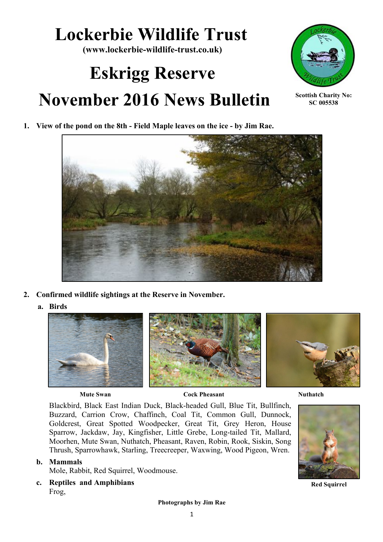## **Lockerbie Wildlife Trust**

**(www.lockerbie-wildlife-trust.co.uk)**

# **Eskrigg Reserve November 2016 News Bulletin**



**Scottish Charity No: SC 005538**

**1. View of the pond on the 8th - Field Maple leaves on the ice - by Jim Rae.**



- **2. Confirmed wildlife sightings at the Reserve in November.**
	- **a. Birds**





**Mute Swan Cock Pheasant Cock Pheasant Nuthatch** 

Blackbird, Black East Indian Duck, Black-headed Gull, Blue Tit, Bullfinch, Buzzard, Carrion Crow, Chaffinch, Coal Tit, Common Gull, Dunnock, Goldcrest, Great Spotted Woodpecker, Great Tit, Grey Heron, House Sparrow, Jackdaw, Jay, Kingfisher, Little Grebe, Long-tailed Tit, Mallard, Moorhen, Mute Swan, Nuthatch, Pheasant, Raven, Robin, Rook, Siskin, Song Thrush, Sparrowhawk, Starling, Treecreeper, Waxwing, Wood Pigeon, Wren.

## **b. Mammals**

Mole, Rabbit, Red Squirrel, Woodmouse.

**c. Reptiles and Amphibians**  Frog,



**Red Squirrel**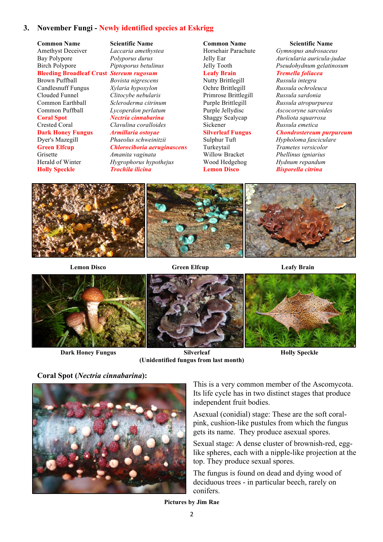## **3. November Fungi - Newly identified species at Eskrigg**

**Common Name Scientific Name** Amethyst Deceiver *Laccaria amethystea* Bay Polypore *Polyporus durus* Birch Polypore *Piptoporus betulinus* **Bleeding Broadleaf Crust** *Stereum rugosum* Brown Puffball *Bovista nigrescens* Candlesnuff Fungus *Xylaria hypoxylon* Clouded Funnel *Clitocybe nebularis* Common Earthball *Scleroderma citrinum* Common Puffball *Lycoperdon perlatum* **Coral Spot** *Nectria cinnabarina* Crested Coral *Clavulina coralloides* **Dark Honey Fungus** *Armillaria ostoyae* Dyer's Mazegill *Phaeolus schweinitzii* Grisette *Amanita vaginata* **Holly Speckle** *Trochila ilicina*

**Green Elfcup** *Chlorociboria aeruginascens* Herald of Winter *Hygrophorus hypothejus*

## **Common Name Scientific Name** Horsehair Parachute *Gymnopus androsaceus* **Leafy Brain** *Tremella foliacea*

Nutty Brittlegill *Russula integra* Primrose Brittlegill *Russula sardonia* Shaggy Scalycap *Pholiota squarrosa* Sickener *Russula emetica*

Jelly Ear *Auricularia auricula-judae* Jelly Tooth *Pseudohydnum gelatinosum*

Ochre Brittlegill *Russula ochroleuca* Purple Brittlegill *Russula atropurpurea* Purple Jellydisc *Ascocoryne sarcoides*

#### **Silverleaf Fungus** *Chondrostereum purpureum*

Sulphur Tuft *Hypholoma fasciculare* Turkeytail *Trametes versicolor* Willow Bracket *Phellinus igniarius* Wood Hedgehog *Hydnum repandum*  **Lemon Disco** *Bisporella citrina*



 **Lemon Disco Green Elfcup Leafy Brain**



**Dark Honey Fungus Silverleaf Holly Speckle (Unidentified fungus from last month)**

**Coral Spot (***Nectria cinnabarina***):**



This is a very common member of the Ascomycota. Its life cycle has in two distinct stages that produce independent fruit bodies.

Asexual (conidial) stage: These are the soft coralpink, cushion-like pustules from which the fungus gets its name. They produce asexual spores.

Sexual stage: A dense cluster of brownish-red, egglike spheres, each with a nipple-like projection at the top. They produce sexual spores.

The fungus is found on dead and dying wood of deciduous trees - in particular beech, rarely on conifers.

**Pictures by Jim Rae**